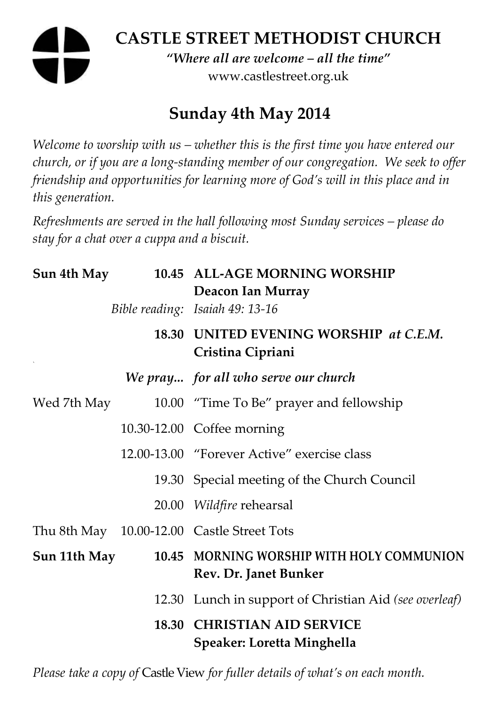# **CASTLE STREET METHODIST CHURCH**  *"Where all are welcome – all the time"*  www.castlestreet.org.uk

# **Sunday 4th May 2014**

*Welcome to worship with us – whether this is the first time you have entered our church, or if you are a long-standing member of our congregation. We seek to offer friendship and opportunities for learning more of God's will in this place and in this generation.* 

*Refreshments are served in the hall following most Sunday services – please do stay for a chat over a cuppa and a biscuit.* 

| Sun 4th May  |  | 10.45 ALL-AGE MORNING WORSHIP<br>Deacon Ian Murray                 |
|--------------|--|--------------------------------------------------------------------|
|              |  | Bible reading: Isaiah 49: 13-16                                    |
|              |  | 18.30 UNITED EVENING WORSHIP at C.E.M.<br>Cristina Cipriani        |
|              |  | We pray for all who serve our church                               |
| Wed 7th May  |  | 10.00 "Time To Be" prayer and fellowship                           |
|              |  | 10.30-12.00 Coffee morning                                         |
|              |  | 12.00-13.00 "Forever Active" exercise class                        |
|              |  | 19.30 Special meeting of the Church Council                        |
|              |  | 20.00 Wildfire rehearsal                                           |
|              |  | Thu 8th May 10.00-12.00 Castle Street Tots                         |
| Sun 11th May |  | 10.45 MORNING WORSHIP WITH HOLY COMMUNION<br>Rev. Dr. Janet Bunker |
|              |  | 12.30 Lunch in support of Christian Aid (see overleaf)             |
|              |  | <b>18.30 CHRISTIAN AID SERVICE</b><br>Speaker: Loretta Minghella   |

*Please take a copy of* Castle View *for fuller details of what's on each month.*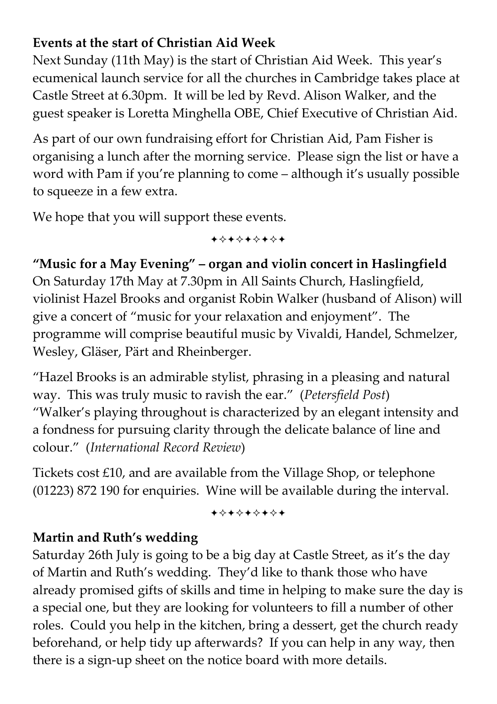### **Events at the start of Christian Aid Week**

Next Sunday (11th May) is the start of Christian Aid Week. This year's ecumenical launch service for all the churches in Cambridge takes place at Castle Street at 6.30pm. It will be led by Revd. Alison Walker, and the guest speaker is Loretta Minghella OBE, Chief Executive of Christian Aid.

As part of our own fundraising effort for Christian Aid, Pam Fisher is organising a lunch after the morning service. Please sign the list or have a word with Pam if you're planning to come – although it's usually possible to squeeze in a few extra.

We hope that you will support these events.

+\*+\*\*\*\*+

**"Music for a May Evening" – organ and violin concert in Haslingfield**  On Saturday 17th May at 7.30pm in All Saints Church, Haslingfield, violinist Hazel Brooks and organist Robin Walker (husband of Alison) will give a concert of "music for your relaxation and enjoyment". The programme will comprise beautiful music by Vivaldi, Handel, Schmelzer, Wesley, Gläser, Pärt and Rheinberger.

"Hazel Brooks is an admirable stylist, phrasing in a pleasing and natural way. This was truly music to ravish the ear." (*Petersfield Post*) "Walker's playing throughout is characterized by an elegant intensity and a fondness for pursuing clarity through the delicate balance of line and colour." (*International Record Review*)

Tickets cost £10, and are available from the Village Shop, or telephone (01223) 872 190 for enquiries. Wine will be available during the interval.

+\*\*\*\*\*\*\*

#### **Martin and Ruth's wedding**

Saturday 26th July is going to be a big day at Castle Street, as it's the day of Martin and Ruth's wedding. They'd like to thank those who have already promised gifts of skills and time in helping to make sure the day is a special one, but they are looking for volunteers to fill a number of other roles. Could you help in the kitchen, bring a dessert, get the church ready beforehand, or help tidy up afterwards? If you can help in any way, then there is a sign-up sheet on the notice board with more details.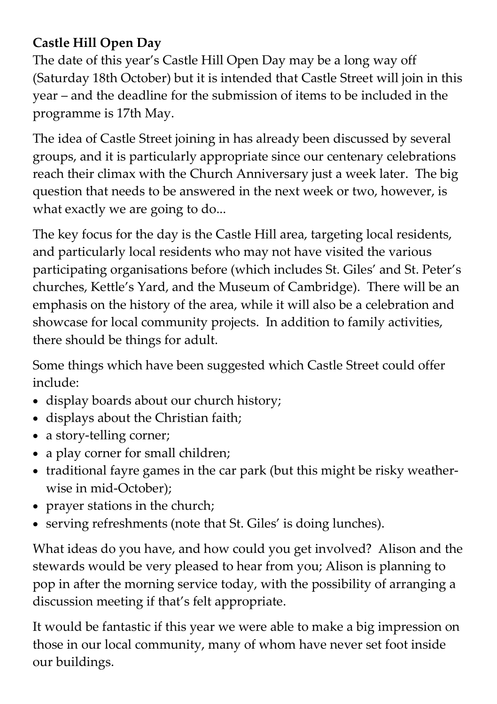## **Castle Hill Open Day**

The date of this year's Castle Hill Open Day may be a long way off (Saturday 18th October) but it is intended that Castle Street will join in this year – and the deadline for the submission of items to be included in the programme is 17th May.

The idea of Castle Street joining in has already been discussed by several groups, and it is particularly appropriate since our centenary celebrations reach their climax with the Church Anniversary just a week later. The big question that needs to be answered in the next week or two, however, is what exactly we are going to do...

The key focus for the day is the Castle Hill area, targeting local residents, and particularly local residents who may not have visited the various participating organisations before (which includes St. Giles' and St. Peter's churches, Kettle's Yard, and the Museum of Cambridge). There will be an emphasis on the history of the area, while it will also be a celebration and showcase for local community projects. In addition to family activities, there should be things for adult.

Some things which have been suggested which Castle Street could offer include:

- display boards about our church history;
- displays about the Christian faith;
- a story-telling corner;
- a play corner for small children;
- traditional fayre games in the car park (but this might be risky weatherwise in mid-October);
- prayer stations in the church;
- serving refreshments (note that St. Giles' is doing lunches).

What ideas do you have, and how could you get involved? Alison and the stewards would be very pleased to hear from you; Alison is planning to pop in after the morning service today, with the possibility of arranging a discussion meeting if that's felt appropriate.

It would be fantastic if this year we were able to make a big impression on those in our local community, many of whom have never set foot inside our buildings.